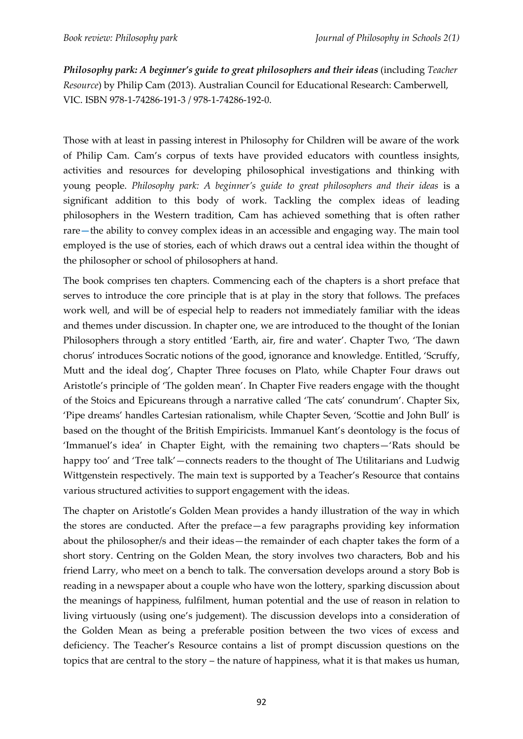*Philosophy park: A beginner's guide to great philosophers and their ideas* (including *Teacher Resource*) by Philip Cam (2013). Australian Council for Educational Research: Camberwell, VIC. ISBN 978-1-74286-191-3 / 978-1-74286-192-0.

Those with at least in passing interest in Philosophy for Children will be aware of the work of Philip Cam. Cam's corpus of texts have provided educators with countless insights, activities and resources for developing philosophical investigations and thinking with young people. *Philosophy park: A beginner's guide to great philosophers and their ideas* is a significant addition to this body of work. Tackling the complex ideas of leading philosophers in the Western tradition, Cam has achieved something that is often rather rare**—**the ability to convey complex ideas in an accessible and engaging way. The main tool employed is the use of stories, each of which draws out a central idea within the thought of the philosopher or school of philosophers at hand.

The book comprises ten chapters. Commencing each of the chapters is a short preface that serves to introduce the core principle that is at play in the story that follows. The prefaces work well, and will be of especial help to readers not immediately familiar with the ideas and themes under discussion. In chapter one, we are introduced to the thought of the Ionian Philosophers through a story entitled 'Earth, air, fire and water'. Chapter Two, 'The dawn chorus' introduces Socratic notions of the good, ignorance and knowledge. Entitled, 'Scruffy, Mutt and the ideal dog', Chapter Three focuses on Plato, while Chapter Four draws out Aristotle's principle of 'The golden mean'. In Chapter Five readers engage with the thought of the Stoics and Epicureans through a narrative called 'The cats' conundrum'. Chapter Six, 'Pipe dreams' handles Cartesian rationalism, while Chapter Seven, 'Scottie and John Bull' is based on the thought of the British Empiricists. Immanuel Kant's deontology is the focus of 'Immanuel's idea' in Chapter Eight, with the remaining two chapters—'Rats should be happy too' and 'Tree talk'—connects readers to the thought of The Utilitarians and Ludwig Wittgenstein respectively. The main text is supported by a Teacher's Resource that contains various structured activities to support engagement with the ideas.

The chapter on Aristotle's Golden Mean provides a handy illustration of the way in which the stores are conducted. After the preface—a few paragraphs providing key information about the philosopher/s and their ideas—the remainder of each chapter takes the form of a short story. Centring on the Golden Mean, the story involves two characters, Bob and his friend Larry, who meet on a bench to talk. The conversation develops around a story Bob is reading in a newspaper about a couple who have won the lottery, sparking discussion about the meanings of happiness, fulfilment, human potential and the use of reason in relation to living virtuously (using one's judgement). The discussion develops into a consideration of the Golden Mean as being a preferable position between the two vices of excess and deficiency. The Teacher's Resource contains a list of prompt discussion questions on the topics that are central to the story – the nature of happiness, what it is that makes us human,